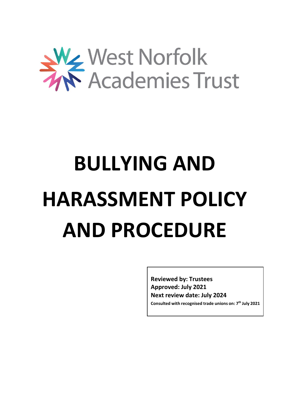

# **BULLYING AND HARASSMENT POLICY AND PROCEDURE**

**Reviewed by: Trustees Approved: July 2021 Next review date: July 2024**

**Consulted with recognised trade unions on: 7 th July 2021**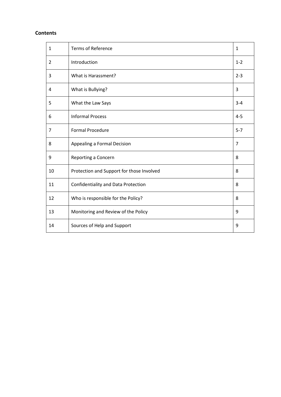## **Contents**

| $\mathbf{1}$ | <b>Terms of Reference</b>                 | $\mathbf 1$    |
|--------------|-------------------------------------------|----------------|
| 2            | Introduction                              | $1 - 2$        |
| 3            | What is Harassment?                       | $2 - 3$        |
| 4            | What is Bullying?                         | 3              |
| 5            | What the Law Says                         | $3 - 4$        |
| 6            | <b>Informal Process</b>                   | $4 - 5$        |
| 7            | <b>Formal Procedure</b>                   | $5 - 7$        |
| 8            | Appealing a Formal Decision               | $\overline{7}$ |
| 9            | Reporting a Concern                       | 8              |
| 10           | Protection and Support for those Involved | 8              |
| 11           | Confidentiality and Data Protection       | 8              |
| 12           | Who is responsible for the Policy?        | 8              |
| 13           | Monitoring and Review of the Policy       | 9              |
| 14           | Sources of Help and Support               | 9              |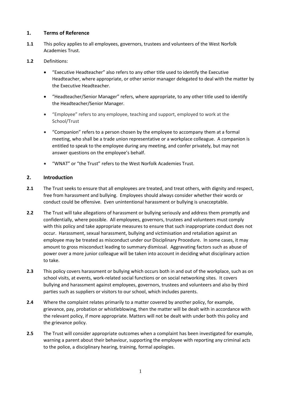# **1. Terms of Reference**

- **1.1** This policy applies to all employees, governors, trustees and volunteers of the West Norfolk Academies Trust.
- **1.2** Definitions:
	- "Executive Headteacher" also refers to any other title used to identify the Executive Headteacher, where appropriate, or other senior manager delegated to deal with the matter by the Executive Headteacher.
	- "Headteacher/Senior Manager" refers, where appropriate, to any other title used to identify the Headteacher/Senior Manager.
	- "Employee" refers to any employee, teaching and support, employed to work at the School/Trust
	- "Companion" refers to a person chosen by the employee to accompany them at a formal meeting, who shall be a trade union representative or a workplace colleague. A companion is entitled to speak to the employee during any meeting, and confer privately, but may not answer questions on the employee's behalf.
	- "WNAT" or "the Trust" refers to the West Norfolk Academies Trust.

# **2. Introduction**

- **2.1** The Trust seeks to ensure that all employees are treated, and treat others, with dignity and respect, free from harassment and bullying. Employees should always consider whether their words or conduct could be offensive. Even unintentional harassment or bullying is unacceptable.
- **2.2** The Trust will take allegations of harassment or bullying seriously and address them promptly and confidentially, where possible. All employees, governors, trustees and volunteers must comply with this policy and take appropriate measures to ensure that such inappropriate conduct does not occur. Harassment, sexual harassment, bullying and victimisation and retaliation against an employee may be treated as misconduct under our Disciplinary Procedure. In some cases, it may amount to gross misconduct leading to summary dismissal. Aggravating factors such as abuse of power over a more junior colleague will be taken into account in deciding what disciplinary action to take.
- **2.3** This policy covers harassment or bullying which occurs both in and out of the workplace, such as on school visits, at events, work-related social functions or on social networking sites. It covers bullying and harassment against employees, governors, trustees and volunteers and also by third parties such as suppliers or visitors to our school, which includes parents.
- **2.4** Where the complaint relates primarily to a matter covered by another policy, for example, grievance, pay, probation or whistleblowing, then the matter will be dealt with in accordance with the relevant policy, if more appropriate. Matters will not be dealt with under both this policy and the grievance policy.
- **2.5** The Trust will consider appropriate outcomes when a complaint has been investigated for example, warning a parent about their behaviour, supporting the employee with reporting any criminal acts to the police, a disciplinary hearing, training, formal apologies.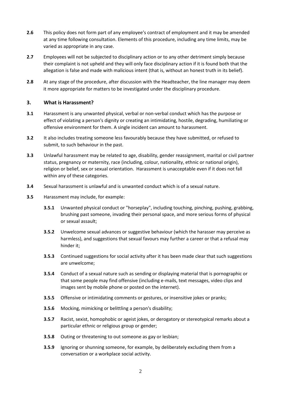- **2.6** This policy does not form part of any employee's contract of employment and it may be amended at any time following consultation. Elements of this procedure, including any time limits, may be varied as appropriate in any case.
- **2.7** Employees will not be subjected to disciplinary action or to any other detriment simply because their complaint is not upheld and they will only face disciplinary action if it is found both that the allegation is false and made with malicious intent (that is, without an honest truth in its belief).
- **2.8** At any stage of the procedure, after discussion with the Headteacher, the line manager may deem it more appropriate for matters to be investigated under the disciplinary procedure.

## **3. What is Harassment?**

- **3.1** Harassment is any unwanted physical, verbal or non-verbal conduct which has the purpose or effect of violating a person's dignity or creating an intimidating, hostile, degrading, humiliating or offensive environment for them. A single incident can amount to harassment.
- **3.2** It also includes treating someone less favourably because they have submitted, or refused to submit, to such behaviour in the past.
- **3.3** Unlawful harassment may be related to age, disability, gender reassignment, marital or civil partner status, pregnancy or maternity, race (including, colour, nationality, ethnic or national origin), religion or belief, sex or sexual orientation. Harassment is unacceptable even if it does not fall within any of these categories.
- **3.4** Sexual harassment is unlawful and is unwanted conduct which is of a sexual nature.
- **3.5** Harassment may include, for example:
	- **3.5.1** Unwanted physical conduct or "horseplay", including touching, pinching, pushing, grabbing, brushing past someone, invading their personal space, and more serious forms of physical or sexual assault;
	- **3.5.2** Unwelcome sexual advances or suggestive behaviour (which the harasser may perceive as harmless), and suggestions that sexual favours may further a career or that a refusal may hinder it;
	- **3.5.3** Continued suggestions for social activity after it has been made clear that such suggestions are unwelcome;
	- **3.5.4** Conduct of a sexual nature such as sending or displaying material that is pornographic or that some people may find offensive (including e-mails, text messages, video clips and images sent by mobile phone or posted on the internet).
	- **3.5.5** Offensive or intimidating comments or gestures, or insensitive jokes or pranks;
	- **3.5.6** Mocking, mimicking or belittling a person's disability;
	- **3.5.7** Racist, sexist, homophobic or ageist jokes, or derogatory or stereotypical remarks about a particular ethnic or religious group or gender;
	- **3.5.8** Outing or threatening to out someone as gay or lesbian;
	- **3.5.9** Ignoring or shunning someone, for example, by deliberately excluding them from a conversation or a workplace social activity.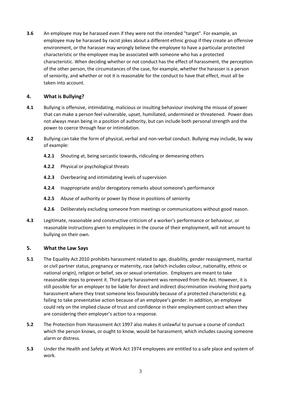**3.6** An employee may be harassed even if they were not the intended "target". For example, an employee may be harassed by racist jokes about a different ethnic group if they create an offensive environment, or the harasser may wrongly believe the employee to have a particular protected characteristic or the employee may be associated with someone who has a protected characteristic. When deciding whether or not conduct has the effect of harassment, the perception of the other person, the circumstances of the case, for example, whether the harasser is a person of seniority, and whether or not it is reasonable for the conduct to have that effect, must all be taken into account.

## **4. What is Bullying?**

- **4.1** Bullying is offensive, intimidating, malicious or insulting behaviour involving the misuse of power that can make a person feel vulnerable, upset, humiliated, undermined or threatened. Power does not always mean being in a position of authority, but can include both personal strength and the power to coerce through fear or intimidation.
- **4.2** Bullying can take the form of physical, verbal and non-verbal conduct. Bullying may include, by way of example:
	- **4.2.1** Shouting at, being sarcastic towards, ridiculing or demeaning others
	- **4.2.2** Physical or psychological threats
	- **4.2.3** Overbearing and intimidating levels of supervision
	- **4.2.4** Inappropriate and/or derogatory remarks about someone's performance
	- **4.2.5** Abuse of authority or power by those in positions of seniority
	- **4.2.6** Deliberately excluding someone from meetings or communications without good reason.
- **4.3** Legitimate, reasonable and constructive criticism of a worker's performance or behaviour, or reasonable instructions given to employees in the course of their employment, will not amount to bullying on their own.

## **5. What the Law Says**

- **5.1** The Equality Act 2010 prohibits harassment related to age, disability, gender reassignment, marital or civil partner status, pregnancy or maternity, race (which includes colour, nationality, ethnic or national origin), religion or belief, sex or sexual orientation. Employers are meant to take reasonable steps to prevent it. Third party harassment was removed from the Act. However, it is still possible for an employer to be liable for direct and indirect discrimination involving third party harassment where they treat someone less favourably because of a protected characteristic e.g. failing to take preventative action because of an employee's gender. In addition, an employee could rely on the implied clause of trust and confidence in their employment contract when they are considering their employer's action to a response.
- **5.2** The Protection from Harassment Act 1997 also makes it unlawful to pursue a course of conduct which the person knows, or ought to know, would be harassment, which includes causing someone alarm or distress.
- **5.3** Under the Health and Safety at Work Act 1974 employees are entitled to a safe place and system of work.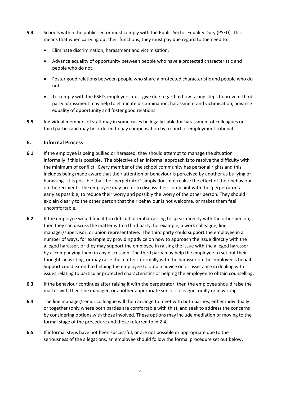- **5.4** Schools within the public sector must comply with the Public Sector Equality Duty (PSED). This means that when carrying out their functions, they must pay due regard to the need to:
	- Eliminate discrimination, harassment and victimisation.
	- Advance equality of opportunity between people who have a protected characteristic and people who do not.
	- Foster good relations between people who share a protected characteristic and people who do not.
	- To comply with the PSED, employers must give due regard to how taking steps to prevent third party harassment may help to eliminate discrimination, harassment and victimisation, advance equality of opportunity and foster good relations.
- **5.5** Individual members of staff may in some cases be legally liable for harassment of colleagues or third parties and may be ordered to pay compensation by a court or employment tribunal.

# **6. Informal Process**

- **6.1** If the employee is being bullied or harassed, they should attempt to manage the situation informally if this is possible. The objective of an informal approach is to resolve the difficulty with the minimum of conflict. Every member of the school community has personal rights and this includes being made aware that their attention or behaviour is perceived by another as bullying or harassing. It is possible that the "perpetrator" simply does not realise the effect of their behaviour on the recipient. The employee may prefer to discuss their complaint with the 'perpetrator' as early as possible, to reduce their worry and possibly the worry of the other person. They should explain clearly to the other person that their behaviour is not welcome, or makes them feel uncomfortable.
- **6.2** If the employee would find it too difficult or embarrassing to speak directly with the other person, then they can discuss the matter with a third party, for example, a work colleague, line manager/supervisor, or union representative. The third party could support the employee in a number of ways, for example by providing advice on how to approach the issue directly with the alleged harasser, or they may support the employee in raising the issue with the alleged harasser by accompanying them in any discussion. The third party may help the employee to set out their thoughts in writing, or may raise the matter informally with the harasser on the employee's behalf. Support could extend to helping the employee to obtain advice on or assistance in dealing with issues relating to particular protected characteristics or helping the employee to obtain counselling.
- **6.3** If the behaviour continues after raising it with the perpetrator, then the employee should raise the matter with their line manager, or another appropriate senior colleague, orally or in writing.
- **6.4** The line manager/senior colleague will then arrange to meet with both parties, either individually or together (only where both parties are comfortable with this), and seek to address the concerns by considering options with those involved. These options may include mediation or moving to the formal stage of the procedure and those referred to in 2.4.
- **6.5** If informal steps have not been successful, or are not possible or appropriate due to the seriousness of the allegations, an employee should follow the formal procedure set out below.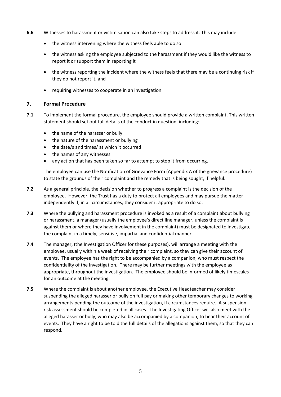- **6.6** Witnesses to harassment or victimisation can also take steps to address it. This may include:
	- the witness intervening where the witness feels able to do so
	- the witness asking the employee subjected to the harassment if they would like the witness to report it or support them in reporting it
	- the witness reporting the incident where the witness feels that there may be a continuing risk if they do not report it, and
	- requiring witnesses to cooperate in an investigation.

## **7. Formal Procedure**

- **7.1** To implement the formal procedure, the employee should provide a written complaint. This written statement should set out full details of the conduct in question, including:
	- the name of the harasser or bully
	- the nature of the harassment or bullying
	- the date/s and times/ at which it occurred
	- the names of any witnesses
	- any action that has been taken so far to attempt to stop it from occurring.

The employee can use the Notification of Grievance Form (Appendix A of the grievance procedure) to state the grounds of their complaint and the remedy that is being sought, if helpful.

- **7.2** As a general principle, the decision whether to progress a complaint is the decision of the employee. However, the Trust has a duty to protect all employees and may pursue the matter independently if, in all circumstances, they consider it appropriate to do so.
- **7.3** Where the bullying and harassment procedure is invoked as a result of a complaint about bullying or harassment, a manager (usually the employee's direct line manager, unless the complaint is against them or where they have involvement in the complaint) must be designated to investigate the complaint in a timely, sensitive, impartial and confidential manner.
- **7.4** The manager, (the Investigation Officer for these purposes), will arrange a meeting with the employee, usually within a week of receiving their complaint, so they can give their account of events. The employee has the right to be accompanied by a companion, who must respect the confidentiality of the investigation. There may be further meetings with the employee as appropriate, throughout the investigation. The employee should be informed of likely timescales for an outcome at the meeting.
- **7.5** Where the complaint is about another employee, the Executive Headteacher may consider suspending the alleged harasser or bully on full pay or making other temporary changes to working arrangements pending the outcome of the investigation, if circumstances require. A suspension risk assessment should be completed in all cases. The Investigating Officer will also meet with the alleged harasser or bully, who may also be accompanied by a companion, to hear their account of events. They have a right to be told the full details of the allegations against them, so that they can respond.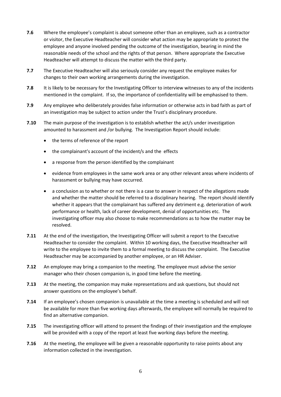- **7.6** Where the employee's complaint is about someone other than an employee, such as a contractor or visitor, the Executive Headteacher will consider what action may be appropriate to protect the employee and anyone involved pending the outcome of the investigation, bearing in mind the reasonable needs of the school and the rights of that person. Where appropriate the Executive Headteacher will attempt to discuss the matter with the third party.
- **7.7** The Executive Headteacher will also seriously consider any request the employee makes for changes to their own working arrangements during the investigation.
- **7.8** It is likely to be necessary for the Investigating Officer to interview witnesses to any of the incidents mentioned in the complaint. If so, the importance of confidentiality will be emphasised to them.
- **7.9** Any employee who deliberately provides false information or otherwise acts in bad faith as part of an investigation may be subject to action under the Trust's disciplinary procedure.
- **7.10** The main purpose of the investigation is to establish whether the act/s under investigation amounted to harassment and /or bullying. The Investigation Report should include:
	- the terms of reference of the report
	- the complainant's account of the incident/s and the effects
	- a response from the person identified by the complainant
	- evidence from employees in the same work area or any other relevant areas where incidents of harassment or bullying may have occurred.
	- a conclusion as to whether or not there is a case to answer in respect of the allegations made and whether the matter should be referred to a disciplinary hearing. The report should identify whether it appears that the complainant has suffered any detriment e.g. deterioration of work performance or health, lack of career development, denial of opportunities etc. The investigating officer may also choose to make recommendations as to how the matter may be resolved.
- **7.11** At the end of the investigation, the Investigating Officer will submit a report to the Executive Headteacher to consider the complaint. Within 10 working days, the Executive Headteacher will write to the employee to invite them to a formal meeting to discuss the complaint. The Executive Headteacher may be accompanied by another employee, or an HR Adviser.
- **7.12** An employee may bring a companion to the meeting. The employee must advise the senior manager who their chosen companion is, in good time before the meeting.
- **7.13** At the meeting, the companion may make representations and ask questions, but should not answer questions on the employee's behalf.
- **7.14** If an employee's chosen companion is unavailable at the time a meeting is scheduled and will not be available for more than five working days afterwards, the employee will normally be required to find an alternative companion.
- **7.15** The investigating officer will attend to present the findings of their investigation and the employee will be provided with a copy of the report at least five working days before the meeting.
- **7.16** At the meeting, the employee will be given a reasonable opportunity to raise points about any information collected in the investigation.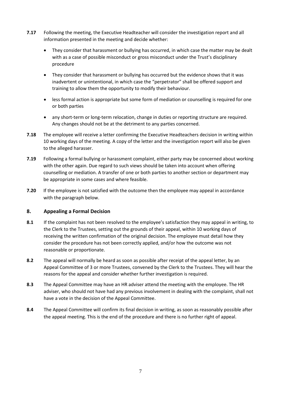- **7.17** Following the meeting, the Executive Headteacher will consider the investigation report and all information presented in the meeting and decide whether:
	- They consider that harassment or bullying has occurred, in which case the matter may be dealt with as a case of possible misconduct or gross misconduct under the Trust's disciplinary procedure
	- They consider that harassment or bullying has occurred but the evidence shows that it was inadvertent or unintentional, in which case the "perpetrator" shall be offered support and training to allow them the opportunity to modify their behaviour.
	- less formal action is appropriate but some form of mediation or counselling is required for one or both parties
	- any short-term or long-term relocation, change in duties or reporting structure are required. Any changes should not be at the detriment to any parties concerned.
- **7.18** The employee will receive a letter confirming the Executive Headteachers decision in writing within 10 working days of the meeting. A copy of the letter and the investigation report will also be given to the alleged harasser.
- **7.19** Following a formal bullying or harassment complaint, either party may be concerned about working with the other again. Due regard to such views should be taken into account when offering counselling or mediation. A transfer of one or both parties to another section or department may be appropriate in some cases and where feasible.
- **7.20** If the employee is not satisfied with the outcome then the employee may appeal in accordance with the paragraph below.

## **8. Appealing a Formal Decision**

- **8.1** If the complaint has not been resolved to the employee's satisfaction they may appeal in writing, to the Clerk to the Trustees, setting out the grounds of their appeal, within 10 working days of receiving the written confirmation of the original decision. The employee must detail how they consider the procedure has not been correctly applied, and/or how the outcome was not reasonable or proportionate.
- **8.2** The appeal will normally be heard as soon as possible after receipt of the appeal letter, by an Appeal Committee of 3 or more Trustees, convened by the Clerk to the Trustees. They will hear the reasons for the appeal and consider whether further investigation is required.
- **8.3** The Appeal Committee may have an HR adviser attend the meeting with the employee. The HR adviser, who should not have had any previous involvement in dealing with the complaint, shall not have a vote in the decision of the Appeal Committee.
- **8.4** The Appeal Committee will confirm its final decision in writing, as soon as reasonably possible after the appeal meeting. This is the end of the procedure and there is no further right of appeal.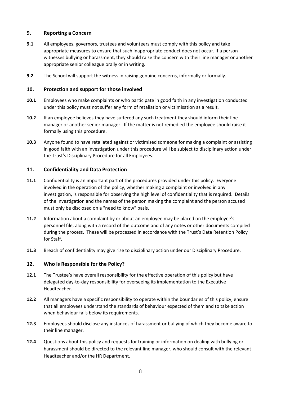# **9. Reporting a Concern**

- **9.1** All employees, governors, trustees and volunteers must comply with this policy and take appropriate measures to ensure that such inappropriate conduct does not occur. If a person witnesses bullying or harassment, they should raise the concern with their line manager or another appropriate senior colleague orally or in writing.
- **9.2** The School will support the witness in raising genuine concerns, informally or formally.

#### **10. Protection and support for those involved**

- **10.1** Employees who make complaints or who participate in good faith in any investigation conducted under this policy must not suffer any form of retaliation or victimisation as a result.
- **10.2** If an employee believes they have suffered any such treatment they should inform their line manager or another senior manager. If the matter is not remedied the employee should raise it formally using this procedure.
- **10.3** Anyone found to have retaliated against or victimised someone for making a complaint or assisting in good faith with an investigation under this procedure will be subject to disciplinary action under the Trust's Disciplinary Procedure for all Employees.

#### **11. Confidentiality and Data Protection**

- **11.1** Confidentiality is an important part of the procedures provided under this policy. Everyone involved in the operation of the policy, whether making a complaint or involved in any investigation, is responsible for observing the high level of confidentiality that is required. Details of the investigation and the names of the person making the complaint and the person accused must only be disclosed on a "need to know" basis.
- **11.2** Information about a complaint by or about an employee may be placed on the employee's personnel file, along with a record of the outcome and of any notes or other documents compiled during the process. These will be processed in accordance with the Trust's Data Retention Policy for Staff.
- **11.3** Breach of confidentiality may give rise to disciplinary action under our Disciplinary Procedure.

## **12. Who is Responsible for the Policy?**

- **12.1** The Trustee's have overall responsibility for the effective operation of this policy but have delegated day-to-day responsibility for overseeing its implementation to the Executive Headteacher.
- **12.2** All managers have a specific responsibility to operate within the boundaries of this policy, ensure that all employees understand the standards of behaviour expected of them and to take action when behaviour falls below its requirements.
- **12.3** Employees should disclose any instances of harassment or bullying of which they become aware to their line manager.
- **12.4** Questions about this policy and requests for training or information on dealing with bullying or harassment should be directed to the relevant line manager, who should consult with the relevant Headteacher and/or the HR Department.